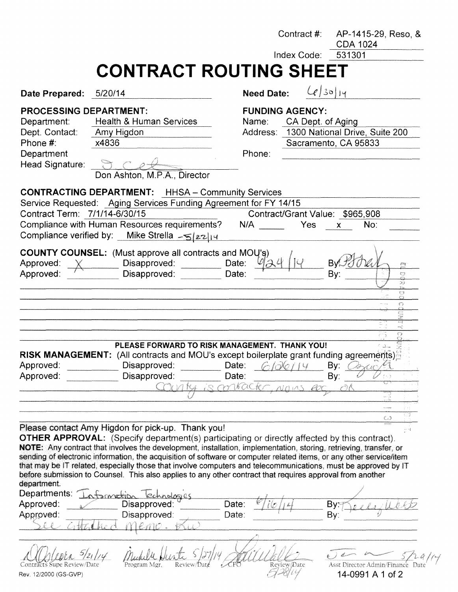|                                                                                                                      |                                                                                                                                                                                                                                                                                                                                                                                                                                                                                                                                                                                                                                                                            |       | Contract #:       |                                             | AP-1415-29, Reso, &<br><b>CDA 1024</b>                          |
|----------------------------------------------------------------------------------------------------------------------|----------------------------------------------------------------------------------------------------------------------------------------------------------------------------------------------------------------------------------------------------------------------------------------------------------------------------------------------------------------------------------------------------------------------------------------------------------------------------------------------------------------------------------------------------------------------------------------------------------------------------------------------------------------------------|-------|-------------------|---------------------------------------------|-----------------------------------------------------------------|
|                                                                                                                      |                                                                                                                                                                                                                                                                                                                                                                                                                                                                                                                                                                                                                                                                            |       |                   | Index Code:                                 | 531301                                                          |
|                                                                                                                      | <b>CONTRACT ROUTING SHEET</b>                                                                                                                                                                                                                                                                                                                                                                                                                                                                                                                                                                                                                                              |       |                   |                                             |                                                                 |
| Date Prepared: 5/20/14                                                                                               |                                                                                                                                                                                                                                                                                                                                                                                                                                                                                                                                                                                                                                                                            |       | <b>Need Date:</b> |                                             | $(e)$ 30 14                                                     |
| <b>PROCESSING DEPARTMENT:</b><br>Department:<br>Dept. Contact:<br>Phone #:<br>Department<br>Head Signature: <b>D</b> | <b>Health &amp; Human Services</b><br>Amy Higdon<br>x4836<br>Don Ashton, M.P.A., Director                                                                                                                                                                                                                                                                                                                                                                                                                                                                                                                                                                                  |       | Name:<br>Phone:   | <b>FUNDING AGENCY:</b><br>CA Dept. of Aging | Address: 1300 National Drive, Suite 200<br>Sacramento, CA 95833 |
| Contract Term: 7/1/14-6/30/15                                                                                        | <b>CONTRACTING DEPARTMENT:</b> HHSA - Community Services<br>Service Requested: Aging Services Funding Agreement for FY 14/15<br>Compliance with Human Resources requirements?<br>Compliance verified by: Mike Strella -5/22/14                                                                                                                                                                                                                                                                                                                                                                                                                                             |       | N/A Yes           |                                             | Contract/Grant Value: \$965,908<br>No:<br>$\mathsf{x}$          |
| Approved:<br>Approved:                                                                                               | <b>COUNTY COUNSEL:</b> (Must approve all contracts and MOU's)<br>Disapproved: <b>Example</b><br>Disapproved:                                                                                                                                                                                                                                                                                                                                                                                                                                                                                                                                                               | Date: | Date:             |                                             | By<br>Bv:<br>Ò<br>33<br><b>C3</b>                               |
|                                                                                                                      | PLEASE FORWARD TO RISK MANAGEMENT. THANK YOU!                                                                                                                                                                                                                                                                                                                                                                                                                                                                                                                                                                                                                              |       |                   |                                             | $\bigcirc$                                                      |
|                                                                                                                      | RISK MANAGEMENT: (All contracts and MOU's except boilerplate grant funding agreements)                                                                                                                                                                                                                                                                                                                                                                                                                                                                                                                                                                                     |       |                   |                                             |                                                                 |
| Approved:                                                                                                            | Disapproved:                                                                                                                                                                                                                                                                                                                                                                                                                                                                                                                                                                                                                                                               | Date: |                   |                                             | By:                                                             |
| Approved:                                                                                                            | Disapproved:                                                                                                                                                                                                                                                                                                                                                                                                                                                                                                                                                                                                                                                               | Date: |                   |                                             | By:                                                             |
|                                                                                                                      |                                                                                                                                                                                                                                                                                                                                                                                                                                                                                                                                                                                                                                                                            |       | 7.60x             |                                             |                                                                 |
|                                                                                                                      |                                                                                                                                                                                                                                                                                                                                                                                                                                                                                                                                                                                                                                                                            |       |                   |                                             |                                                                 |
|                                                                                                                      |                                                                                                                                                                                                                                                                                                                                                                                                                                                                                                                                                                                                                                                                            |       |                   |                                             |                                                                 |
| department.<br>Departments:<br>Approved:                                                                             | Please contact Amy Higdon for pick-up. Thank you!<br><b>OTHER APPROVAL:</b> (Specify department(s) participating or directly affected by this contract).<br>NOTE: Any contract that involves the development, installation, implementation, storing, retrieving, transfer, or<br>sending of electronic information, the acquisition of software or computer related items, or any other service/item<br>that may be IT related, especially those that involve computers and telecommunications, must be approved by IT<br>before submission to Counsel. This also applies to any other contract that requires approval from another<br>tomatio<br>nologies<br>Disapproved: | Date: |                   |                                             | い<br>By:                                                        |
| Approved:                                                                                                            | Disapproved:                                                                                                                                                                                                                                                                                                                                                                                                                                                                                                                                                                                                                                                               | Date: |                   |                                             | By:                                                             |
|                                                                                                                      | emo.                                                                                                                                                                                                                                                                                                                                                                                                                                                                                                                                                                                                                                                                       |       |                   |                                             |                                                                 |
| Contracts Supe Review/Date<br>Rev. 12/2000 (GS-GVP)                                                                  | Program Mgr.                                                                                                                                                                                                                                                                                                                                                                                                                                                                                                                                                                                                                                                               |       |                   | Review/Date                                 | Asst Director Admin/Finance Date<br>14-0991 A 1 of 2            |

 $7 - 61$  14-0991 A 1 of 2